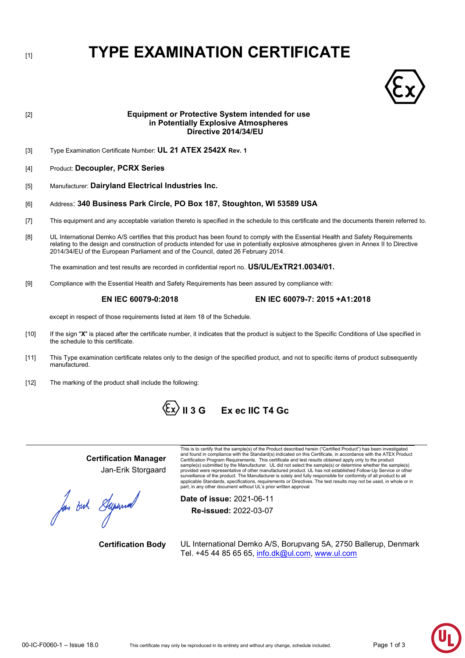# [1] **TYPE EXAMINATION CERTIFICATE**



# [2] **Equipment or Protective System intended for use in Potentially Explosive Atmospheres Directive 2014/34/EU** [3] Type Examination Certificate Number: **UL 21 ATEX 2542X Rev. 1** [4] Product: **Decoupler, PCRX Series** [5] Manufacturer: **Dairyland Electrical Industries Inc.** [6] Address: **340 Business Park Circle, PO Box 187, Stoughton, WI 53589 USA** [7] This equipment and any acceptable variation thereto is specified in the schedule to this certificate and the documents therein referred to. [8] UL International Demko A/S certifies that this product has been found to comply with the Essential Health and Safety Requirements relating to the design and construction of products intended for use in potentially explosive atmospheres given in Annex II to Directive 2014/34/EU of the European Parliament and of the Council, dated 26 February 2014. The examination and test results are recorded in confidential report no. **US/UL/ExTR21.0034/01.**  [9] Compliance with the Essential Health and Safety Requirements has been assured by compliance with: **EN IEC 60079-0:2018 EN IEC 60079-7: 2015 +A1:2018** except in respect of those requirements listed at item 18 of the Schedule. [10] If the sign "**X**" is placed after the certificate number, it indicates that the product is subject to the Specific Conditions of Use specified in the schedule to this certificate.

- [11] This Type examination certificate relates only to the design of the specified product, and not to specific items of product subsequently manufactured.
- [12] The marking of the product shall include the following:



**Certification Manager** Jan-Erik Storgaard

for out Supermal

This is to certify that the sample(s) of the Product described herein ("Certified Product") has been investigated<br>and found in compliance with the Standard(s) indicated on this Certificate, in accordance with the ATEX Prod Certification Program Requirements. This certificate and test results obtained apply only to the product sample(s) submitted by the Manufacturer. UL did not select the sample(s) or determine whether the sample(s) provided were representative of other manufactured product. UL has not established Follow-Up Service or other<br>surveillance of the product. The Manufacturer is solely and fully responsible for conformity of all product to a applicable Standards, specifications, requirements or Directives. The test results may not be used, in whole or in part, in any other document without UL's prior written approval

**Date of issue:** 2021-06-11 **Re-issued:** 2022-03-07

**Certification Body** UL International Demko A/S, Borupvang 5A, 2750 Ballerup, Denmark Tel. +45 44 85 65 65, [info.dk@ul.com,](mailto:info.dk@ul.com) [www.ul.com](http://www.ul.com/)

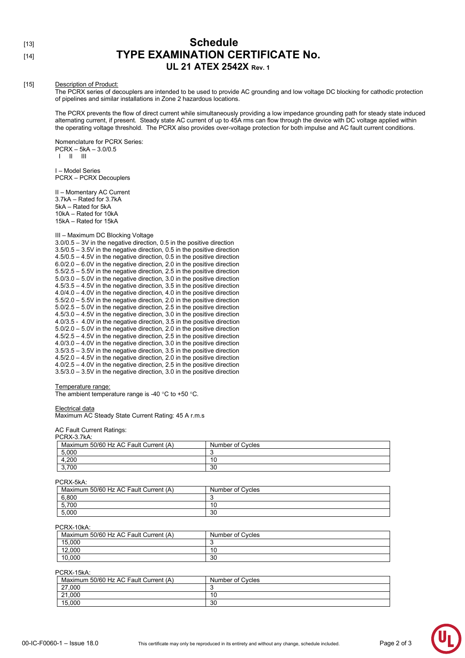### [13] **Schedule** [14] **TYPE EXAMINATION CERTIFICATE No. UL 21 ATEX 2542X Rev. 1**

#### [15] Description of Product:

The PCRX series of decouplers are intended to be used to provide AC grounding and low voltage DC blocking for cathodic protection of pipelines and similar installations in Zone 2 hazardous locations.

The PCRX prevents the flow of direct current while simultaneously providing a low impedance grounding path for steady state induced alternating current, if present. Steady state AC current of up to 45A rms can flow through the device with DC voltage applied within the operating voltage threshold. The PCRX also provides over-voltage protection for both impulse and AC fault current conditions.

Nomenclature for PCRX Series: PCRX – 5kA – 3.0/0.5 I II III

I – Model Series PCRX – PCRX Decouplers

II – Momentary AC Current 3.7kA – Rated for 3.7kA 5kA – Rated for 5kA 10kA – Rated for 10kA 15kA – Rated for 15kA

III – Maximum DC Blocking Voltage

3.0/0.5 – 3V in the negative direction, 0.5 in the positive direction 3.5/0.5 – 3.5V in the negative direction, 0.5 in the positive direction 4.5/0.5 – 4.5V in the negative direction, 0.5 in the positive direction 6.0/2.0 – 6.0V in the negative direction, 2.0 in the positive direction 5.5/2.5 – 5.5V in the negative direction, 2.5 in the positive direction 5.0/3.0 – 5.0V in the negative direction, 3.0 in the positive direction 4.5/3.5 – 4.5V in the negative direction, 3.5 in the positive direction 4.0/4.0 – 4.0V in the negative direction, 4.0 in the positive direction 5.5/2.0 – 5.5V in the negative direction, 2.0 in the positive direction 5.0/2.5 – 5.0V in the negative direction, 2.5 in the positive direction 4.5/3.0 – 4.5V in the negative direction, 3.0 in the positive direction 4.0/3.5 - 4.0V in the negative direction, 3.5 in the positive direction 5.0/2.0 – 5.0V in the negative direction, 2.0 in the positive direction 4.5/2.5 – 4.5V in the negative direction, 2.5 in the positive direction 4.0/3.0 – 4.0V in the negative direction, 3.0 in the positive direction 3.5/3.5 – 3.5V in the negative direction, 3.5 in the positive direction 4.5/2.0 – 4.5V in the negative direction, 2.0 in the positive direction 4.0/2.5 – 4.0V in the negative direction, 2.5 in the positive direction 3.5/3.0 – 3.5V in the negative direction, 3.0 in the positive direction

#### Temperature range:

Electrical data

The ambient temperature range is -40 °C to +50 °C.

## **Maximum AC Steady State Current Rating: 45 A r.m.s**

AC Fault Current Ratings: PCRX-3.7kA:

| . אחו. שינוערו ש                      |                  |
|---------------------------------------|------------------|
| Maximum 50/60 Hz AC Fault Current (A) | Number of Cycles |
| 5,000                                 |                  |
| ,200                                  | 10               |
| 3.700                                 | 30               |
|                                       |                  |

PCRX-5kA:

| . האיט־יאו ש                          |                  |
|---------------------------------------|------------------|
| Maximum 50/60 Hz AC Fault Current (A) | Number of Cycles |
| 6,800                                 |                  |
| 5,700                                 | 10               |
| 5,000                                 | 30               |

#### PCRX-10kA:

| Maximum 50/60 Hz AC Fault Current (A) | Number of Cycles |
|---------------------------------------|------------------|
| 15,000                                |                  |
| 12.000                                | 10               |
| 10,000                                | 30               |

#### PCRX-15kA:

| Maximum 50/60 Hz AC Fault Current (A) | Number of Cycles |
|---------------------------------------|------------------|
| 27,000                                |                  |
| 21,000                                | 10               |
| 15.000                                | 30               |